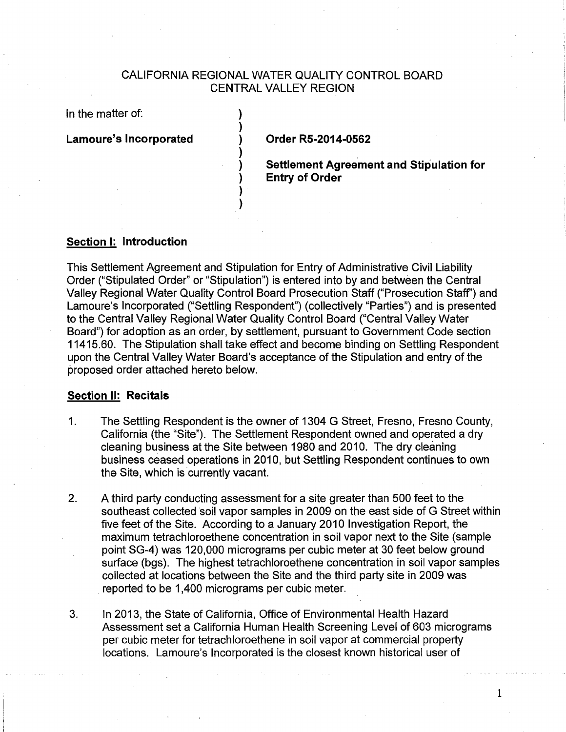# CALIFORNIA REGIONAL WATER QUALITY CONTROL BOARD CENTRAL VALLEY REGION

) ) ) ) ) ) ) )

In the matter of:

**Lamoure's Incorporated** 

**Order RS-2014-0562** 

**Settlement Agreement and Stipulation for Entry of Order** 

# **Section 1: Introduction**

This Settlement Agreement and Stipulation for Entry of Administrative Civil Liability Order ("Stipulated Order" or "Stipulation") is entered into by and between the Central Valley Regional Water Quality Control Board Prosecution Staff ("Prosecution Staff') and Lamoure's Incorporated ("Settling Respondent") (collectively "Parties") and is presented to the Central Valley Regional Water Quality Control Board ("Central Valley Water Board") for adoption as an order, by settlement, pursuant to Government Code section 11415.60. The Stipulation shall take effect and become binding on Settling Respondent upon the Central Valley Water Board's acceptance of the Stipulation and entry of the proposed order attached hereto below.

## **Section II: Recitals**

- 1. The Settling Respondent is the owner of 1304 G Street, Fresno, Fresno County, California (the "Site"). The Settlement Respondent owned and operated a dry cleaning business at the Site between 1980 and 2010. The dry cleaning business ceased operations in 2010, but Settling Respondent continues to own the Site, which is currently vacant.
- 2. A third party conducting assessment for a site greater than 500 feet to the southeast collected soil vapor samples in 2009 on the east side of G Street within five feet of the Site. According to a January 2010 Investigation Report, the maximum tetrachloroethene concentration in soil vapor next to the Site (sample point SG-4) was 120,000 micrograms per cubic meter at 30 feet below ground surface (bgs). The highest tetrachloroethene concentration in soil vapor samples collected at locations between the Site and the third party site in 2009 was reported to be 1 ,400 micrograms per cubic meter.
- 3. In 2013, the State of California, Office of Environmental Health Hazard Assessment set a California Human Health Screening Level of 603 micrograms per cubic meter for tetrachloroethene in soil vapor at commercial property locations. Lamoure's Incorporated is the closest known historical user of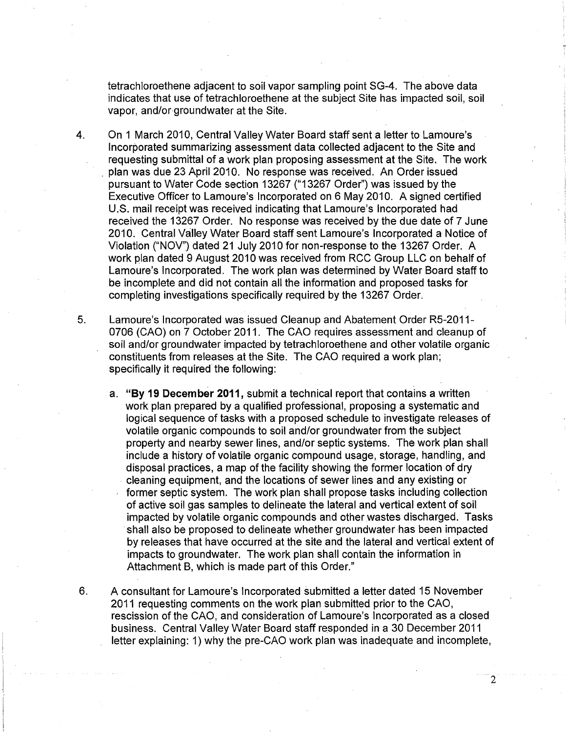tetrachloroethene adjacent to soil vapor sampling point SG-4. The above data indicates that use of tetrachloroethene at the subject Site has impacted soil, soil vapor, and/or groundwater at the Site.

4. On 1 March 2010, Central Valley Water Board staff sent a letter to Lamoure's Incorporated summarizing assessment data collected adjacent to the Site and requesting submittal of a work plan proposing assessment at the Site. The work . plan was due 23 April 2010. No response was received. An Order issued pursuant to Water Code section 13267 ("13267 Order") was issued by the Executive Officer to Lamoure's Incorporated on 6 May 2010. A signed certified U.S. mail receipt was received indicating that Lamoure's Incorporated had received the 13267 Order. No response was received by the due date of 7 June 2010. Central Valley Water Board staff sent Lamoure's Incorporated a Notice of Violation ("NOV") dated 21 July 2010 for non-response to the 13267 Order. A work plan dated 9 August 2010 was received from RCC Group LLC on behalf of Lamoure's Incorporated. The work plan was determined by Water Board staff to be incomplete and did not contain all the information and proposed tasks for completing investigations specifically required by the 13267 Order.

5. Lamoure's Incorporated was issued Cleanup and Abatement Order R5-2011- 0706 (CAO) on 7 October 2011. The CAO requires assessment and cleanup of soil and/or groundwater impacted by tetrachloroethene and other volatile organic constituents from releases at the Site. The CAO required a work plan; specifically it required the following:

a. **"By 19 December 2011,** submit a technical report that contains a written work plan prepared by a qualified professional, proposing a systematic and logical sequence of tasks with a proposed schedule to investigate releases of volatile organic compounds to soil and/or groundwater from the subject property and nearby sewer lines, and/or septic systems. The work plan shall include a history of volatile organic compound usage, storage, handling, and disposal practices, a map of the facility showing the former location of dry cleaning equipment, and the locations of sewer lines and any existing or former septic system. The work plan shall propose tasks including collection of active soil gas samples to delineate the lateral and vertical extent of soil impacted by volatile organic compounds and other wastes discharged. Tasks ·shall also be proposed to delineate whether groundwater has been impacted by releases that have occurred at the site and the lateral and vertical extent of impacts to groundwater. The work plan shall contain the information in Attachment B, which is made part of this Order."

6. A consultant for Lamoure's Incorporated submitted a letter dated 15 November 2011 requesting comments on the work plan submitted prior to the CAO, rescission of the CAO, and consideration of Lamoure's Incorporated as a closed business. Central Valley Water Board staff responded in a 30 December 2011 letter explaining: 1) why the pre-CAO work plan was inadequate and incomplete,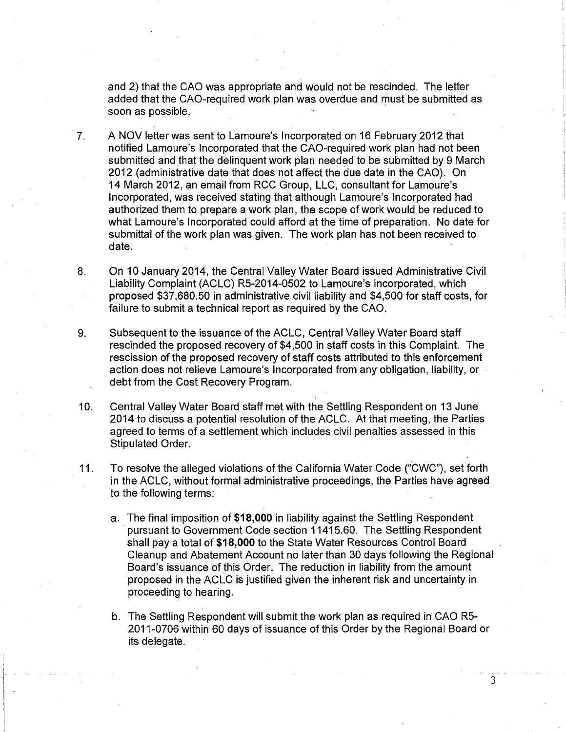and 2) that the CAO was appropriate and would not be rescinded. The letter added that the CAO-required work plan was overdue and must be submitted as soon as possible.

- 7. A NOV letter was sent to Lamoure's Incorporated on 16 February 2012 that notified Lamoure's Incorporated that the GAO-required work plan had not been submitted and that the delinquent work plan needed to be submitted by 9 March 2012 (administrative date that does not affect the due date in the CAO). On 14 March 2012, an email from RCC Group, LLC, consultant for Lamoure's Incorporated, was received stating that although Lamoure's Incorporated had authorized them to prepare a work plan, the scope of work would be reduced to what Lamoure's Incorporated could afford at the time of preparation. No date for submittal of the work plan was given. The work plan has not been received to date.
- 8. On 10 January 2014, the Central Valley Water Board issued Administrative Civil Liability Complaint (ACLC) R5-2014-0502 to Lamoure's Incorporated, which proposed \$37,680.50 in administrative civil liability and \$4,500 for staff costs, for failure to submit a technical report as required by the CAO,
- 9. Subsequent to the issuance of the ACLC, Central Valley Water Board staff rescinded the proposed recovery of \$4;500 in staff costs in this Complaint. The rescission of the proposed recovery of staff costs attributed to this enforcement action does not relieve Lamoure's Incorporated from any obligation, liability, or debt from the Cost Recovery Program.
- 10. Central Valley Water Board staff met With the Settling Respondent on 13 June 2014 to discuss a potential resolution of the ACLC. At that meeting, the Parties agreed to terms of a settlement which includes civil penalties assessed in this Stipulated Order.
- 11. To resolve the alleged violations of the California Water Code ("CWC"), set forth in the ACLC, without formal administrative proceedings, the Parties have agreed to the following terms:
	- a. The final imposition of **\$18,000** in liability. against the Settling Respondent pursuant to Government Code section 11415.60. The Settling Respondent shall pay a total of **\$18,000** to the State Water Resources Control Board Cleanup and Abatement Account no later than 30 days following the Regional Board's issuance of this Order. The reduction in liability from the amount proposed in the ACLC is justified given the inherent risk and uncertainty in proceeding to hearing.
	- b. The Settling Respondent will submit the work plan as required in CAO R5- 2011-0706 within 60 days of issuance of this Order by the Regional Board or its delegate.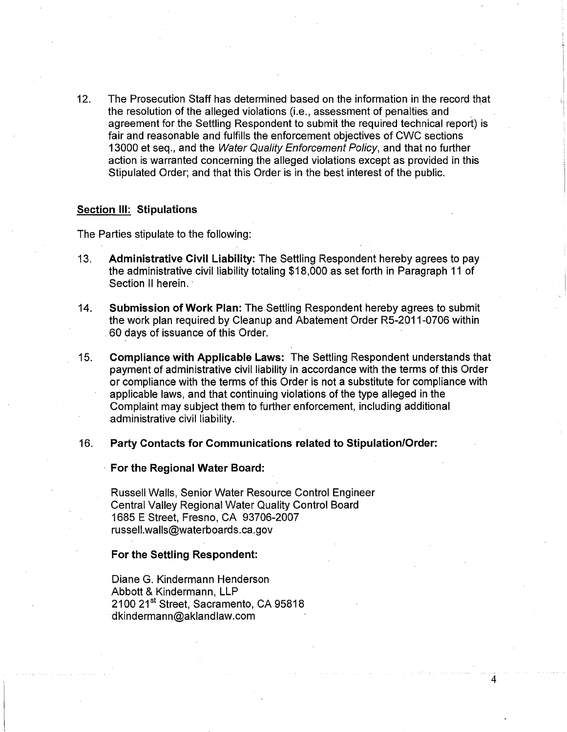12. The Prosecution Staff has determined based on the information in the record that the resolution of the alleged violations (i.e., assessment of penalties and . agreement for the Settling Respondent to submit the required technical report) is fair and reasonable and fulfills the enforcement objectives of CWC sections 13000 et seq., and the Water Quality Enforcement Policy, and that no further action is warranted concerning the alleged violations except as provided in this Stipulated Order; and that this Order is in the best interest of the public.

#### **Section Ill: Stipulations**

The Parties stipulate to the following:

- 13. **Administrative Civil Liability:** The Settling Respondent hereby agrees to pay the administrative civil liability totaling \$18,000 as set forth in Paragraph 11 of Section II herein.
- 14. **Submission of Work Plan:** The Settling Respondent hereby agrees to submit the work plan required by Cleanup and Abatement Order R5-2011-0706 within . 60 days of issuance of this Order.
- 15. **Compliance with Applicable Laws:** The Settling Respondent understands that payment of administrative civil liability in accordance with the terms of this Order or compliance with the terms of this Order is not a substitute for compliance with applicable laws, and that continuing violations of the type alleged in the Complaint may subject them to further enforcement, including additional administrative civil liability.

4

## 16. **Party Contacts for Communications related to Stipulation/Order:**

### · **For the Regional Water Board:**

Russell Walls, Senior Water Resource Control Engineer Central Valley Regional Water Quality Control Board 1685 E Street, Fresno, CA 93706-2007 russell.walls@waterboards.ca.gov

### **For the Settling Respondent:**

Diane G. Kindermann Henderson Abbott & Kindermann, LLP 2100 21<sup>st</sup> Street, Sacramento, CA 95818 ·dkindermann@aklandlaw.com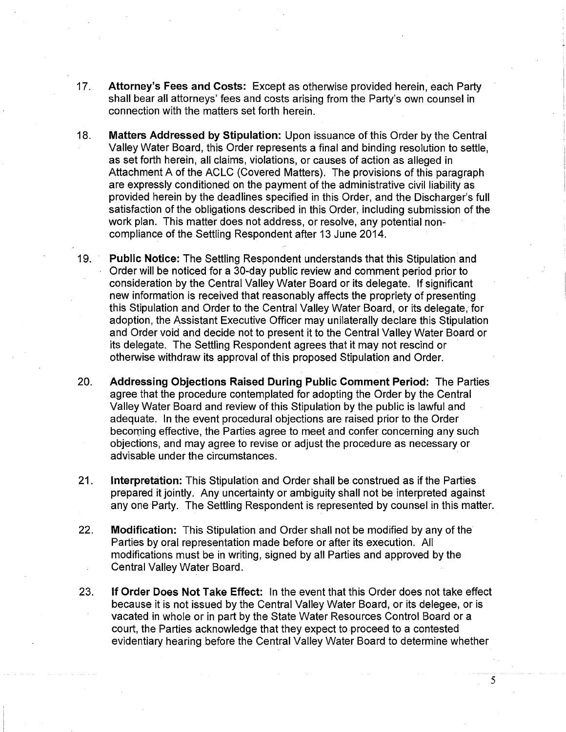- 17. Attorney's Fees and Costs: Except as otherwise provided herein, each Party shall bear all attorneys' fees and costs arising from the Party's own counsel in connection with the matters set forth herein.
- 18. Matters Addressed by Stipulation: Upon issuance of this Order by the Central Valley Water Board, this Order represents a final and binding resolution to settle, as set forth herein, all claims, violations, or causes of action as alleged in Attachment A of the ACLC (Covered Matters). The provisions of this paragraph are expressly conditioned on the payment of the administrative civil liability as provided herein by the deadlines specified in this Order, and the Discharger's full satisfaction of the obligations described in this Order, including submission of the work plan. This matter does not address, or resolve, any potential noncompliance of the Settling Respondent after 13 June 2014.
- 19. Public Notice: The Settling Respondent understands that this Stipulation and Order will be noticed for a 30-day public review and comment period prior to consideration by the Central Valley Water Board or its delegate. If significant new information is received that reasonably affects the propriety of presenting this Stipulation and Order to the Central Valley Water Board, or its delegate, for adoption, the Assistant Executive Officer may unilaterally declare this Stipulation and Order void and decide not to present it to the Central Valley Water Board or its delegate. The Settling Respondent agrees that it may not rescind or otherwise withdraw its approval of this proposed Stipulation and Order.
- 20. Addressing Objections Raised During Public Comment Period: The Parties agree that the procedure contemplated for adopting the Order by the Central Valley Water Board and review of this Stipulation by the public is lawful and adequate. In the event procedural objections are raised prior to the Order becorning effective, the Parties agree to meet and confer concerning any such objections, and may agree to revise or adjust the procedure as necessary or advisable under the circumstances.
- 21. Interpretation: This Stipulation and Order shall be construed as if the Parties prepared it jointly. Any uncertainty or ambiguity shall not be interpreted against any one Party. The Settling Respondent is represented by counsel in this matter.
- 22. Modification: This Stipulation and Order shall not be modified by any of the Parties by oral representation made before or after its execution. All modifications must be in writing, signed by all Parties and approved by the Central Valley Water Board.
- 23. If Order Does Not Take Effect: In the event that this Order does not take effect because it is not issued by the Central Valley Water Board, or its delegee, or is vacated in whole or in part by the State Water Resources Control Board or a court, the Parties acknowledge that they expect to proceed to a contested evidentiary hearing before the Central Valley Water Board to determine whether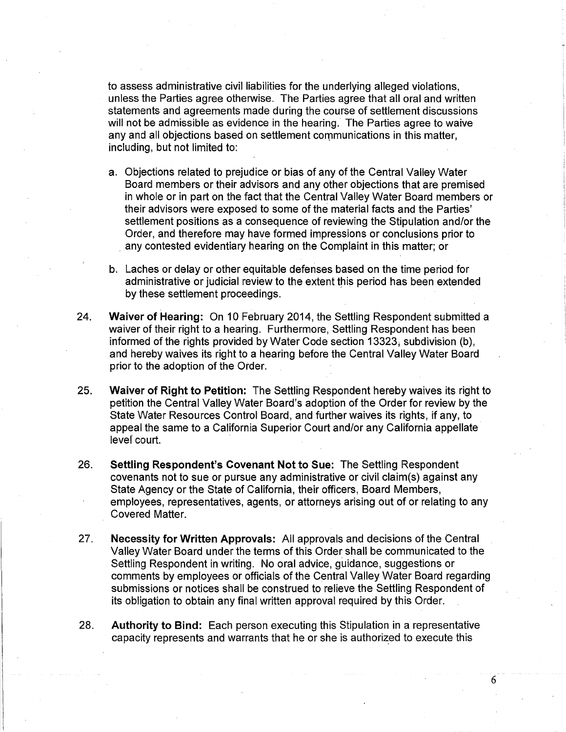to assess administrative civil liabilities for the underlying alleged violations, unless the Parties agree otherwise. The Parties agree that all oral and written statements and agreements made during the course of settlement discussions will not be admissible as evidence in the hearing. The Parties agree to waive any and all objections based on settlement communications in this matter, including, but not limited to:

- a. Objections related to prejudice or bias of any of the Central Valley Water Board members or their advisors and any other objections that are premised in whole or in part on the fact that the Central Valley Water Board members or their advisors were exposed to some of the material facts and the Parties' settlement positions as a consequence of reviewing the Stipulation and/or the Order, and therefore may have formed impressions or conclusions prior to . any contested evidentiary hearing on the Complaint in this matter; or
- b. Laches or delay or other equitable defenses based on the time period for administrative or judicial review to the extent this period has been extended by these settlement proceedings.
- 24. **Waiver of Hearing:** On 10 February 2014, the Settling Respondent submitted a waiver of their right to a hearing. Furthermore, Settling Respondent has been informed of the rights provided by Water Code section 13323, subdivision (b), and hereby waives its right to a hearing before the Central Valley Water Board prior to the adoption of the Order.
- 25. **Waiver of Right to Petition:** The Settling Respondent hereby waives its right to petition the Central Valley Water Board's adoption of the Order for review by the State Water Resources Control Board, and further waives its rights, if any, to appeal the same to a California Superior Court and/or any California appellate level court.
- 26. **Settling Respondent's Covenant Not to Sue:** The Settling Respondent covenants not to sue or pursue any administrative or civil claim(s) against any State Agency or the State of California, their officers, Board Members, employees, representatives, agents, or attorneys arising out of or relating to any Covered Matter.
- 27. **Necessity for Written Approvals:** All approvals and decisions of the Central Valley Water Board under the terms of this Order shall be communicated to the Settling Respondent in writing. No oral advice, guidance, suggestions or comments by employees or officials of the Central Valley Water Board regarding submissions or notices shall be construed to relieve the Settling Respondent of its obligation to obtain any final written approval required by this Order.
- 28. **Authority to Bind:** Each person executing this Stipulation in a representative capacity represents and warrants that he or she is authorized to execute this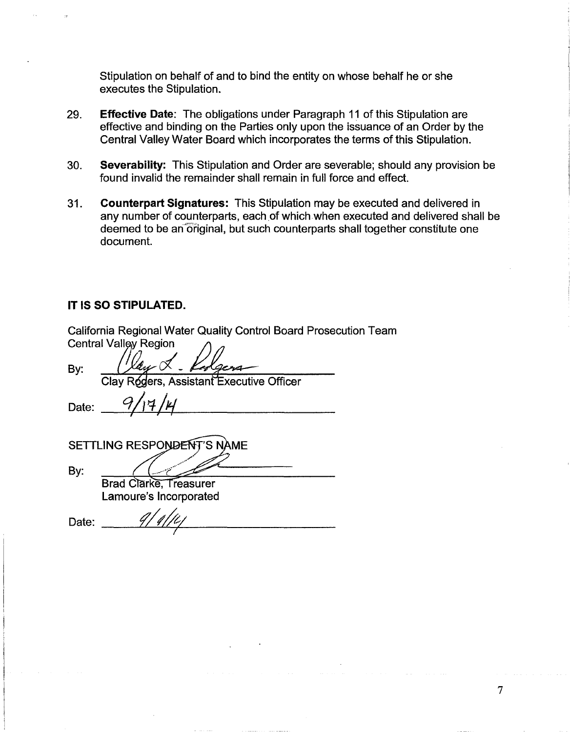Stipulation on behalf of and to bind the entity on whose behalf he or she executes the Stipulation.

- 29. **Effective Date:** The obligations under Paragraph 11 of this Stipulation are effective and binding on the Parties only upon the issuance of an Order by the Central Valley Water Board which incorporates the terms of this Stipulation.
- 30. **Severability:** This Stipulation and Order are severable; should any provision be found invalid the remainder shall remain in full force and effect.
- 31. **Counterpart Signatures:** This Stipulation may be executed and delivered in any number of counterparts, each of which when executed and delivered shall be deemed to be an original, but such counterparts shall together constitute one document.

# IT IS **SO STIPULATED.**

| California Regional Water Quality Control Board Prosecution Team |
|------------------------------------------------------------------|
| <b>Central Valley Region</b>                                     |
| By:<br>Clay Rógers, Assistant Executive Officer                  |
|                                                                  |
| Date:                                                            |
|                                                                  |
| SETTLING RESPONDENT'S NAME                                       |
|                                                                  |
| By:                                                              |
| <b>Brad Clarke, Treasurer</b>                                    |
| Lamoure's Incorporated                                           |
| Date:                                                            |
|                                                                  |